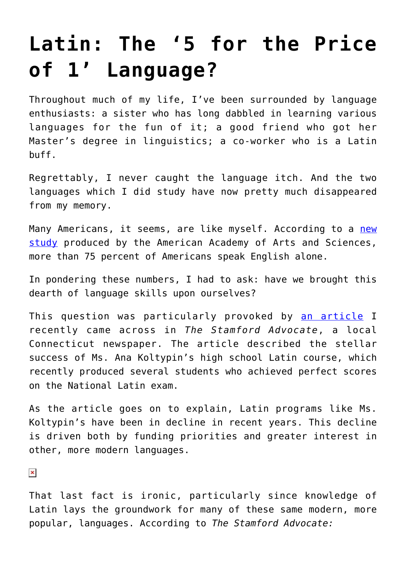## **[Latin: The '5 for the Price](https://intellectualtakeout.org/2016/12/latin-the-5-for-the-price-of-1-language/) [of 1' Language?](https://intellectualtakeout.org/2016/12/latin-the-5-for-the-price-of-1-language/)**

Throughout much of my life, I've been surrounded by language enthusiasts: a sister who has long dabbled in learning various languages for the fun of it; a good friend who got her Master's degree in linguistics; a co-worker who is a Latin buff.

Regrettably, I never caught the language itch. And the two languages which I did study have now pretty much disappeared from my memory.

Many Americans, it seems, are like myself. According to a [new](https://www.amacad.org/multimedia/pdfs/publications/researchpapersmonographs/State-of-Languages-in-US.pdf) [study](https://www.amacad.org/multimedia/pdfs/publications/researchpapersmonographs/State-of-Languages-in-US.pdf) produced by the American Academy of Arts and Sciences, more than 75 percent of Americans speak English alone.

In pondering these numbers, I had to ask: have we brought this dearth of language skills upon ourselves?

This question was particularly provoked by [an article](http://www.stamfordadvocate.com/local/article/Latin-enthusiasts-lament-language-s-decline-10787810.php) I recently came across in *The Stamford Advocate*, a local Connecticut newspaper. The article described the stellar success of Ms. Ana Koltypin's high school Latin course, which recently produced several students who achieved perfect scores on the National Latin exam.

As the article goes on to explain, Latin programs like Ms. Koltypin's have been in decline in recent years. This decline is driven both by funding priorities and greater interest in other, more modern languages.

 $\pmb{\times}$ 

That last fact is ironic, particularly since knowledge of Latin lays the groundwork for many of these same modern, more popular, languages. According to *The Stamford Advocate:*